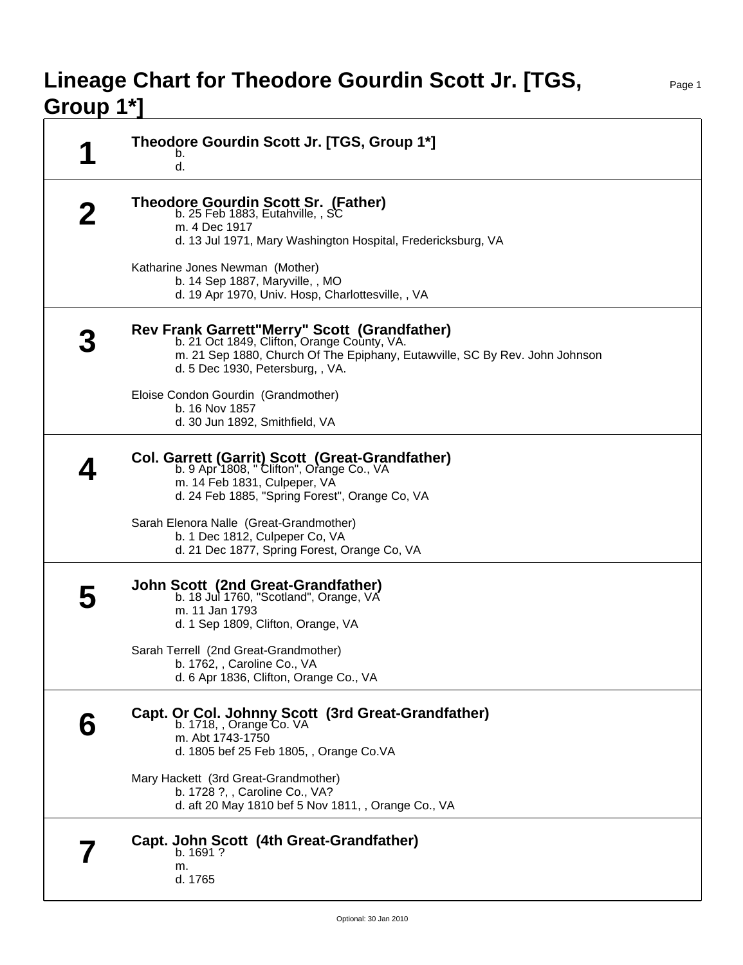## **Lineage Chart for Theodore Gourdin Scott Jr. [TGS, Group 1\*]**

| И | Theodore Gourdin Scott Jr. [TGS, Group 1*]<br>b.<br>d.                                                                                                                                                         |
|---|----------------------------------------------------------------------------------------------------------------------------------------------------------------------------------------------------------------|
|   | <b>Theodore Gourdin Scott Sr. (Father)</b><br>b. 25 Feb 1883, Eutahville, , SC<br>m. 4 Dec 1917<br>d. 13 Jul 1971, Mary Washington Hospital, Fredericksburg, VA                                                |
|   | Katharine Jones Newman (Mother)<br>b. 14 Sep 1887, Maryville, , MO<br>d. 19 Apr 1970, Univ. Hosp, Charlottesville, , VA                                                                                        |
|   | Rev Frank Garrett"Merry" Scott (Grandfather)<br>b. 21 Oct 1849, Clifton, Orange County, VA.<br>m. 21 Sep 1880, Church Of The Epiphany, Eutawville, SC By Rev. John Johnson<br>d. 5 Dec 1930, Petersburg, , VA. |
|   | Eloise Condon Gourdin (Grandmother)<br>b. 16 Nov 1857<br>d. 30 Jun 1892, Smithfield, VA                                                                                                                        |
|   | Col. Garrett (Garrit) Scott (Great-Grandfather)<br>b. 9 Apr 1808, "Clifton", Orange Co., VA<br>m. 14 Feb 1831, Culpeper, VA<br>d. 24 Feb 1885, "Spring Forest", Orange Co, VA                                  |
|   | Sarah Elenora Nalle (Great-Grandmother)<br>b. 1 Dec 1812, Culpeper Co, VA<br>d. 21 Dec 1877, Spring Forest, Orange Co, VA                                                                                      |
|   | <b>John Scott (2nd Great-Grandfather)</b><br>b. 18 Jul 1760, "Scotland", Orange, VA<br>m. 11 Jan 1793<br>d. 1 Sep 1809, Clifton, Orange, VA                                                                    |
|   | Sarah Terrell (2nd Great-Grandmother)<br>b. 1762, , Caroline Co., VA<br>d. 6 Apr 1836, Clifton, Orange Co., VA                                                                                                 |
| h | Capt. Or Col. Johnny Scott (3rd Great-Grandfather)<br>b. 1718, , Orange Co. VA<br>m. Abt 1743-1750<br>d. 1805 bef 25 Feb 1805, , Orange Co.VA                                                                  |
|   | Mary Hackett (3rd Great-Grandmother)<br>b. 1728 ?, , Caroline Co., VA?<br>d. aft 20 May 1810 bef 5 Nov 1811, , Orange Co., VA                                                                                  |
|   | Capt. John Scott (4th Great-Grandfather)<br>b. 1691?<br>m.<br>d. 1765                                                                                                                                          |